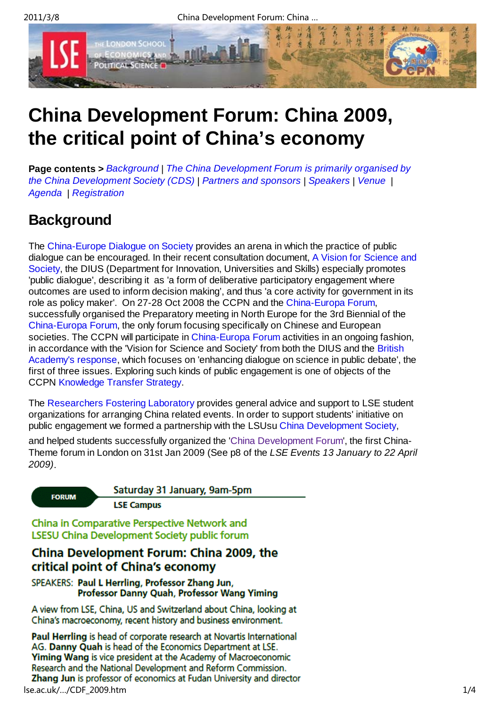

# **China Development Forum: China 2009, the critical point of China's economy**

**Page contents >** *Background* | *The China Development Forum is primarily organised by the China Development Society (CDS)* | *Partners and sponsors* | *Speakers* | *Venue* | *Agenda* | *Registration*

## **Background**

The China-Europe Dialogue on Society provides an arena in which the practice of public dialogue can be encouraged. In their recent consultation document, A Vision for Science and Society, the DIUS (Department for Innovation, Universities and Skills) especially promotes 'public dialogue', describing it as 'a form of deliberative participatory engagement where outcomes are used to inform decision making', and thus 'a core activity for government in its role as policy maker'. On 27-28 Oct 2008 the CCPN and the China-Europa Forum, successfully organised the Preparatory meeting in North Europe for the 3rd Biennial of the China-Europa Forum, the only forum focusing specifically on Chinese and European societies. The CCPN will participate in China-Europa Forum activities in an ongoing fashion, in accordance with the 'Vision for Science and Society' from both the DIUS and the British Academy's response, which focuses on 'enhancing dialogue on science in public debate', the first of three issues. Exploring such kinds of public engagement is one of objects of the CCPN Knowledge Transfer Strategy.

The Researchers Fostering Laboratory provides general advice and support to LSE student organizations for arranging China related events. In order to support students' initiative on public engagement we formed a partnership with the LSUsu China Development Society,

and helped students successfully organized the 'China Development Forum', the first China-Theme forum in London on 31st Jan 2009 (See p8 of the *LSE Events 13 January to 22 April 2009)*.

**FORUM** 

Saturday 31 January, 9am-5pm

**LSE Campus** 

China in Comparative Perspective Network and LSESU China Development Society public forum

#### China Development Forum: China 2009, the critical point of China's economy

SPEAKERS: Paul L Herrling, Professor Zhang Jun, Professor Danny Quah, Professor Wang Yiming

A view from LSE, China, US and Switzerland about China, looking at China's macroeconomy, recent history and business environment.

Paul Herrling is head of corporate research at Novartis International AG. Danny Quah is head of the Economics Department at LSE. **Yiming Wang is vice president at the Academy of Macroeconomic** Research and the National Development and Reform Commission. Zhang Jun is professor of economics at Fudan University and director lse.ac.uk/…/CDF\_2009.htm 1/4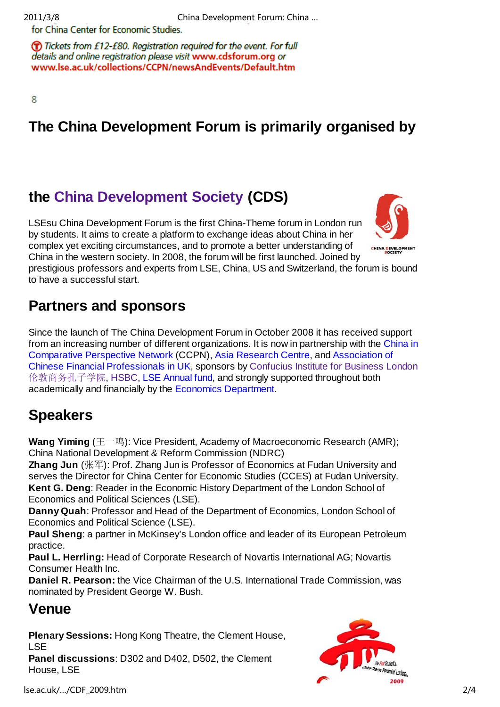for China Center for Economic Studies.

(T) Tickets from £12-£80. Registration required for the event. For full details and online registration please visit www.cdsforum.org or www.lse.ac.uk/collections/CCPN/newsAndEvents/Default.htm

8

## **The China Development Forum is primarily organised by**

### **the China Development Society (CDS)**

LSEsu China Development Forum is the first China-Theme forum in London run by students. It aims to create a platform to exchange ideas about China in her complex yet exciting circumstances, and to promote a better understanding of China in the western society. In 2008, the forum will be first launched. Joined by



prestigious professors and experts from LSE, China, US and Switzerland, the forum is bound to have a successful start.

### **Partners and sponsors**

Since the launch of The China Development Forum in October 2008 it has received support from an increasing number of different organizations. It is now in partnership with the China in Comparative Perspective Network (CCPN), Asia Research Centre, and Association of Chinese Financial Professionals in UK, sponsors by Confucius Institute for Business London 伦敦商务孔子学院, HSBC, LSE Annual fund, and strongly supported throughout both academically and financially by the Economics Department.

## **Speakers**

**Wang Yiming** (王一鸣): Vice President, Academy of Macroeconomic Research (AMR); China National Development & Reform Commission (NDRC)

**Zhang Jun** (张军): Prof. Zhang Jun is Professor of Economics at Fudan University and serves the Director for China Center for Economic Studies (CCES) at Fudan University. **Kent G. Deng**: Reader in the Economic History Department of the London School of Economics and Political Sciences (LSE).

**Danny Quah**: Professor and Head of the Department of Economics, London School of Economics and Political Science (LSE).

**Paul Sheng**: a partner in McKinsey's London office and leader of its European Petroleum practice.

**Paul L. Herrling:** Head of Corporate Research of Novartis International AG; Novartis Consumer Health Inc.

**Daniel R. Pearson:** the Vice Chairman of the U.S. International Trade Commission, was nominated by President George W. Bush.

## **Venue**

**Plenary Sessions:** Hong Kong Theatre, the Clement House, LSE

**Panel discussions**: D302 and D402, D502, the Clement House, LSE

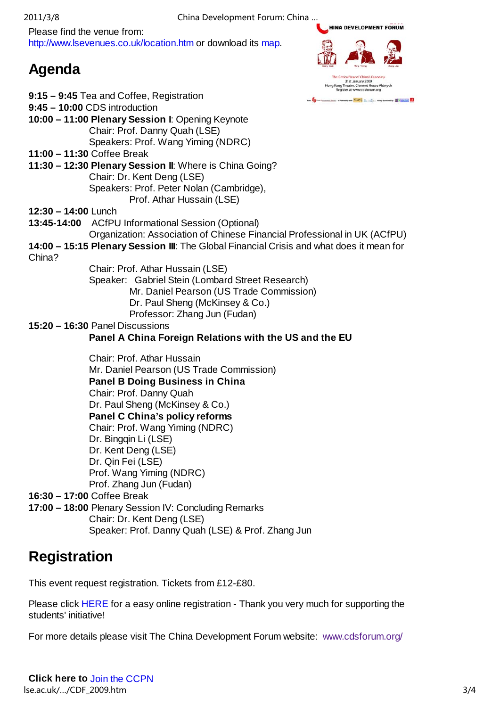Please find the venue from: http://www.lsevenues.co.uk/location.htm or download its map.

Chair: Prof. Danny Quah (LSE)

**11:30 – 12:30 Plenary Session II**: Where is China Going?

## **Agenda**



**HINA DEVELOPMENT FORUM** 

 Chair: Dr. Kent Deng (LSE) Speakers: Prof. Peter Nolan (Cambridge), Prof. Athar Hussain (LSE)

**9:15 – 9:45** Tea and Coffee, Registration

**9:45 – 10:00** CDS introduction

**11:00 – 11:30** Coffee Break

- **12:30 14:00** Lunch
- **13:45-14:00** ACfPU Informational Session (Optional)
- Organization: Association of Chinese Financial Professional in UK (ACfPU)
- **14:00 15:15 Plenary Session III**: The Global Financial Crisis and what does it mean for China?
	- Chair: Prof. Athar Hussain (LSE) Speaker: Gabriel Stein (Lombard Street Research) Mr. Daniel Pearson (US Trade Commission)
		- Dr. Paul Sheng (McKinsey & Co.)
		- Professor: Zhang Jun (Fudan)

#### **15:20 – 16:30** Panel Discussions

#### **Panel A China Foreign Relations with the US and the EU**

 Chair: Prof. Athar Hussain Mr. Daniel Pearson (US Trade Commission)  **Panel B Doing Business in China** Chair: Prof. Danny Quah Dr. Paul Sheng (McKinsey & Co.) **Panel C China's policy reforms**  Chair: Prof. Wang Yiming (NDRC) Dr. Bingqin Li (LSE) Dr. Kent Deng (LSE) Dr. Qin Fei (LSE) Prof. Wang Yiming (NDRC) Prof. Zhang Jun (Fudan) **16:30 – 17:00** Coffee Break

- **17:00 18:00** Plenary Session IV: Concluding Remarks
	- Chair: Dr. Kent Deng (LSE)
	- Speaker: Prof. Danny Quah (LSE) & Prof. Zhang Jun

## **Registration**

This event request registration. Tickets from £12-£80.

Please click HERE for a easy online registration - Thank you very much for supporting the students' initiative!

For more details please visit The China Development Forum website: www.cdsforum.org/